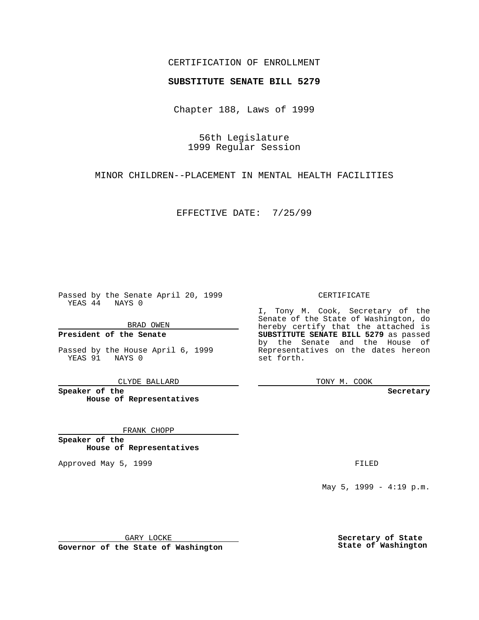### CERTIFICATION OF ENROLLMENT

# **SUBSTITUTE SENATE BILL 5279**

Chapter 188, Laws of 1999

56th Legislature 1999 Regular Session

MINOR CHILDREN--PLACEMENT IN MENTAL HEALTH FACILITIES

EFFECTIVE DATE: 7/25/99

Passed by the Senate April 20, 1999 YEAS 44 NAYS 0

BRAD OWEN

**President of the Senate**

Passed by the House April 6, 1999 YEAS 91 NAYS 0

CLYDE BALLARD

**Speaker of the House of Representatives**

FRANK CHOPP

**Speaker of the House of Representatives**

Approved May 5, 1999 **FILED** 

CERTIFICATE

I, Tony M. Cook, Secretary of the Senate of the State of Washington, do hereby certify that the attached is **SUBSTITUTE SENATE BILL 5279** as passed by the Senate and the House of Representatives on the dates hereon set forth.

TONY M. COOK

**Secretary**

May 5, 1999 - 4:19 p.m.

GARY LOCKE

**Governor of the State of Washington**

**Secretary of State State of Washington**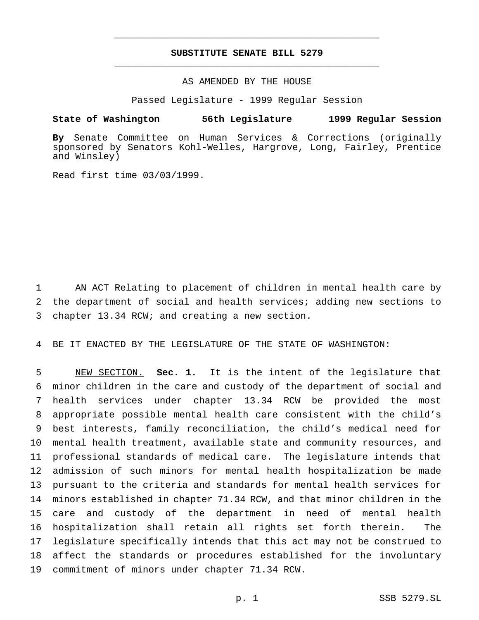## **SUBSTITUTE SENATE BILL 5279** \_\_\_\_\_\_\_\_\_\_\_\_\_\_\_\_\_\_\_\_\_\_\_\_\_\_\_\_\_\_\_\_\_\_\_\_\_\_\_\_\_\_\_\_\_\_\_

\_\_\_\_\_\_\_\_\_\_\_\_\_\_\_\_\_\_\_\_\_\_\_\_\_\_\_\_\_\_\_\_\_\_\_\_\_\_\_\_\_\_\_\_\_\_\_

#### AS AMENDED BY THE HOUSE

Passed Legislature - 1999 Regular Session

#### **State of Washington 56th Legislature 1999 Regular Session**

**By** Senate Committee on Human Services & Corrections (originally sponsored by Senators Kohl-Welles, Hargrove, Long, Fairley, Prentice and Winsley)

Read first time 03/03/1999.

 AN ACT Relating to placement of children in mental health care by the department of social and health services; adding new sections to chapter 13.34 RCW; and creating a new section.

BE IT ENACTED BY THE LEGISLATURE OF THE STATE OF WASHINGTON:

 NEW SECTION. **Sec. 1.** It is the intent of the legislature that minor children in the care and custody of the department of social and health services under chapter 13.34 RCW be provided the most appropriate possible mental health care consistent with the child's best interests, family reconciliation, the child's medical need for mental health treatment, available state and community resources, and professional standards of medical care. The legislature intends that admission of such minors for mental health hospitalization be made pursuant to the criteria and standards for mental health services for minors established in chapter 71.34 RCW, and that minor children in the care and custody of the department in need of mental health hospitalization shall retain all rights set forth therein. The legislature specifically intends that this act may not be construed to affect the standards or procedures established for the involuntary commitment of minors under chapter 71.34 RCW.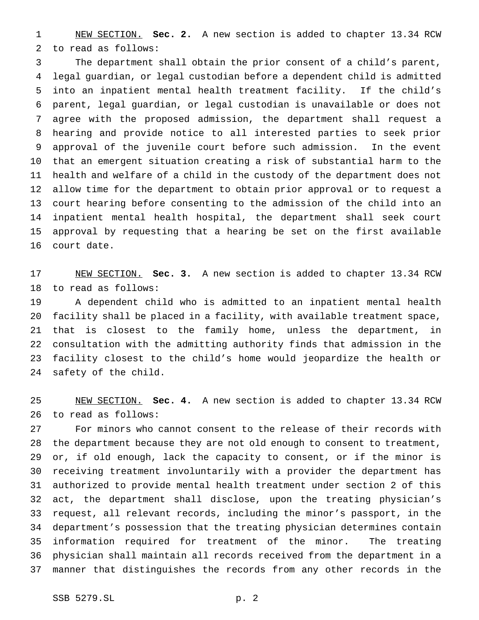NEW SECTION. **Sec. 2.** A new section is added to chapter 13.34 RCW to read as follows:

 The department shall obtain the prior consent of a child's parent, legal guardian, or legal custodian before a dependent child is admitted into an inpatient mental health treatment facility. If the child's parent, legal guardian, or legal custodian is unavailable or does not agree with the proposed admission, the department shall request a hearing and provide notice to all interested parties to seek prior approval of the juvenile court before such admission. In the event that an emergent situation creating a risk of substantial harm to the health and welfare of a child in the custody of the department does not allow time for the department to obtain prior approval or to request a court hearing before consenting to the admission of the child into an inpatient mental health hospital, the department shall seek court approval by requesting that a hearing be set on the first available court date.

 NEW SECTION. **Sec. 3.** A new section is added to chapter 13.34 RCW to read as follows:

 A dependent child who is admitted to an inpatient mental health facility shall be placed in a facility, with available treatment space, that is closest to the family home, unless the department, in consultation with the admitting authority finds that admission in the facility closest to the child's home would jeopardize the health or safety of the child.

 NEW SECTION. **Sec. 4.** A new section is added to chapter 13.34 RCW to read as follows:

 For minors who cannot consent to the release of their records with the department because they are not old enough to consent to treatment, or, if old enough, lack the capacity to consent, or if the minor is receiving treatment involuntarily with a provider the department has authorized to provide mental health treatment under section 2 of this act, the department shall disclose, upon the treating physician's request, all relevant records, including the minor's passport, in the department's possession that the treating physician determines contain information required for treatment of the minor. The treating physician shall maintain all records received from the department in a manner that distinguishes the records from any other records in the